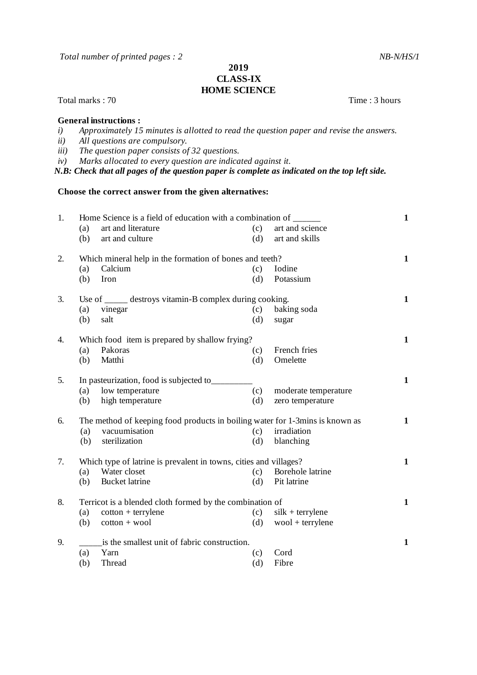*Total number of printed pages : 2* NB-N/HS/1

## **2019 CLASS-IX HOME SCIENCE**

Total marks : 70 Time : 3 hours

**General instructions :**

- *i) Approximately 15 minutes is allotted to read the question paper and revise the answers.*
- *ii) All questions are compulsory.*
- *iii) The question paper consists of 32 questions.*
- *iv) Marks allocated to every question are indicated against it.*

*N.B: Check that all pages of the question paper is complete as indicated on the top left side.*

## **Choose the correct answer from the given alternatives:**

| 1. | Home Science is a field of education with a combination of ______            |                       |     |                      | $\mathbf{1}$ |
|----|------------------------------------------------------------------------------|-----------------------|-----|----------------------|--------------|
|    | (a)                                                                          | art and literature    | (c) | art and science      |              |
|    | (b)                                                                          | art and culture       | (d) | art and skills       |              |
| 2. | Which mineral help in the formation of bones and teeth?                      |                       |     |                      |              |
|    | (a)                                                                          | Calcium               | (c) | Iodine               |              |
|    | (b)                                                                          | Iron                  | (d) | Potassium            |              |
| 3. | Use of ______ destroys vitamin-B complex during cooking.                     |                       |     |                      | $\mathbf{1}$ |
|    | (a)                                                                          | vinegar               | (c) | baking soda          |              |
|    | (b)                                                                          | salt                  | (d) | sugar                |              |
| 4. | Which food item is prepared by shallow frying?                               |                       |     |                      | $\mathbf{1}$ |
|    | (a)                                                                          | Pakoras               | (c) | French fries         |              |
|    | (b)                                                                          | Matthi                | (d) | Omelette             |              |
| 5. | In pasteurization, food is subjected to                                      |                       |     |                      | $\mathbf{1}$ |
|    | (a)                                                                          | low temperature       | (c) | moderate temperature |              |
|    | (b)                                                                          | high temperature      | (d) | zero temperature     |              |
| 6. | The method of keeping food products in boiling water for 1-3mins is known as |                       |     |                      | $\mathbf{1}$ |
|    | (a)                                                                          | vacuumisation         | (c) | irradiation          |              |
|    | (b)                                                                          | sterilization         | (d) | blanching            |              |
| 7. | Which type of latrine is prevalent in towns, cities and villages?            |                       |     |                      |              |
|    | (a)                                                                          | Water closet          | (c) | Borehole latrine     |              |
|    | (b)                                                                          | <b>Bucket</b> latrine | (d) | Pit latrine          |              |
| 8. | Terricot is a blended cloth formed by the combination of                     |                       |     |                      |              |
|    | (a)                                                                          | $\cot$ + terrylene    | (c) | $silk + terrylene$   |              |
|    | (b)                                                                          | $\cot$ ton + wool     | (d) | $wood + terrylene$   |              |
| 9. | is the smallest unit of fabric construction.                                 |                       |     |                      | $\mathbf{1}$ |
|    | (a)                                                                          | Yarn                  | (c) | Cord                 |              |
|    | (b)                                                                          | Thread                | (d) | Fibre                |              |